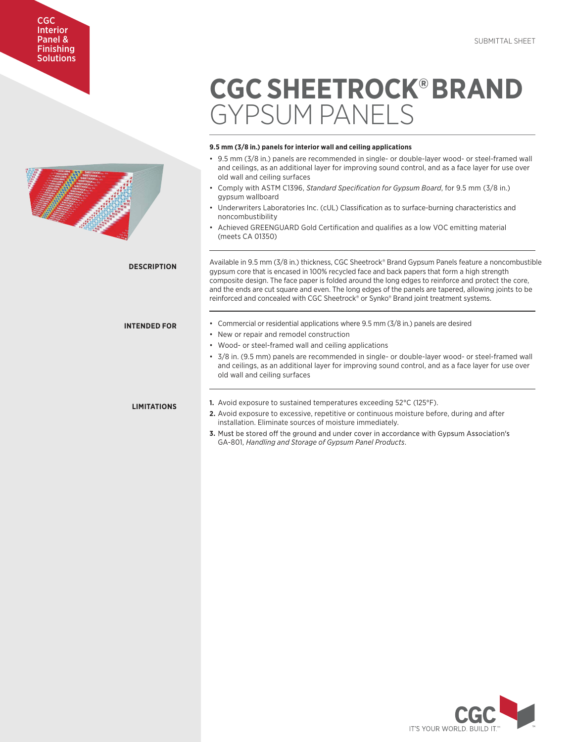# **CGC SHEETROCK®BRAND** GYPSUM PANELS <u>UYPSUM PANELS</u>

# **9.5 mm (3/8 in.) panels for interior wall and ceiling applications**

- –<br>9.5 mm (3/8 in.) panels for interior wall and ceiling applications<br>• 9.5 mm (3/8 in.) panels are recommended in single- or double-layer wood- or steel-framed wall and ceilings, as an additional layer for improving sound control, and as a face layer for use over old wall and ceiling surfaces **1/4 in. (6.4 mm) wall and 3/8 increases**
- Comply with ASTM C1396, *Standard Specification for Gypsum Board*, for 9.5 mm (3/8 in.) gypsum wallboard **back of a face layer wall and as a face layer for use of use of use of use of use of use of use**
- Underwriters Laboratories Inc. (cUL) Classification as to surface-burning characteristics and noncombustibility
- Achieved GREENGUARD Gold Certification and qualifies as a low VOC emitting material (meets CA 01350) • Comply with ASTM C1396, *Standard Specification for Gypsum Board*, for 1/4 in. (6.4 mm) and

Available in 9.5 mm (3/8 in.) thickness, CGC Sheetrock® Brand Gypsum Panels feature a noncombustible wardle in 5.5 km (c) only differentless, objective that a cypsum direct carecter a high strength gypsum core that is encased in 100% recycled face and back papers that form a high strength gy pound the the composite design. The face paper is folded around the long edges to reinforce and protect the core, and the ends are cut square and even. The long edges of the panels are tapered, allowing joints to be reinforced and concealed with CGC Sheetrock® or Synko® Brand joint treatment systems.

- Commercial or residential applications where 9.5 mm (3/8 in.) panels are desired
- New or repair and remodel construction

• New or repair and remodel construction

- is the form and term and term and tensor and face paper is following.<br>• Wood- or steel-framed wall and ceiling applications • wood- or steel-framed wall and celling applications
- 3/8 in. (9.5 mm) panels are recommended in single- or double-layer wood- or steel-framed wall and ceilings, as an additional layer for improving sound control, and as a face layer for use over old wall and ceiling surfaces

# **LIMITATIONS**

**DESCRIPTION**

**INTENDED FOR** 

- 1. Avoid exposure to sustained temperatures exceeding 52°C (125°F).
- **2.** Avoid exposure to excessive, repetitive or continuous moisture before, during and after installation. Eliminate sources of moisture immediately.
- **3.** Must be stor GA-801, *Handling and Storage of Gypsum Panel Products*.



CGC Interior Panel & **Finishing** Enfiniting<br>Solutions **SUIL** 

Panel & Finishing

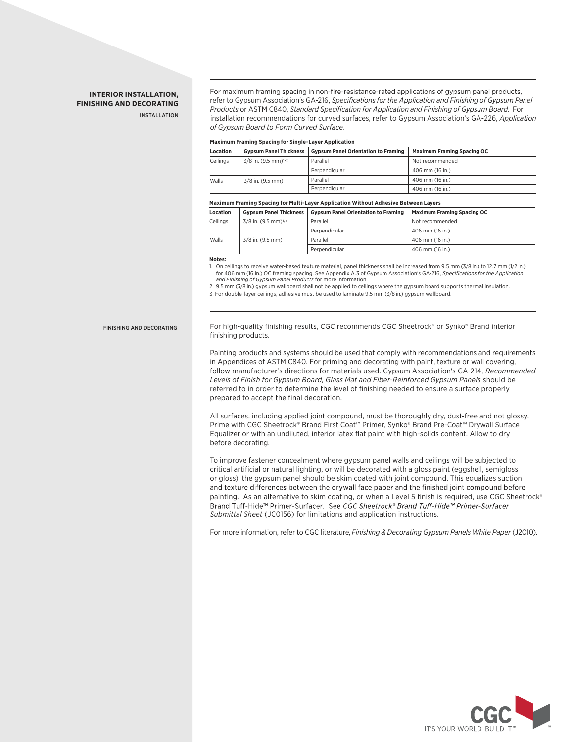# **INTERIOR INSTALLATION, FINISHING AND DECORATING**

INSTALL ATION

For maximum framing spacing in non-fire-resistance-rated applications of gypsum panel products, refer to Gypsum Association's GA-216, *Specifications for the Application and Finishing of Gypsum Panel Products* or ASTM C840, *Standard Specification for Application and Finishing of Gypsum Board*. For installation recommendations for curved surfaces, refer to Gypsum Association's GA-226, *Application of Gypsum Board to Form Curved Surface.* 

#### **Maximum Framing Spacing for Single-Layer Application**

| Location | <b>Gypsum Panel Thickness</b>     | <b>Gypsum Panel Orientation to Framing</b> | <b>Maximum Framing Spacing OC</b> |
|----------|-----------------------------------|--------------------------------------------|-----------------------------------|
| Ceilings | $3/8$ in. (9.5 mm) <sup>1,2</sup> | Parallel                                   | Not recommended                   |
|          |                                   | Perpendicular                              | 406 mm (16 in.)                   |
| Walls    | 3/8 in. (9.5 mm)                  | Parallel                                   | 406 mm (16 in.)                   |
|          |                                   | Perpendicular                              | 406 mm (16 in.)                   |

#### **Maximum Framing Spacing for Multi-Layer Application Without Adhesive Between Layers**

| <b>Location</b> | <b>Gypsum Panel Thickness</b>     | <b>Gypsum Panel Orientation to Framing</b> | <b>Maximum Framing Spacing OC</b> |
|-----------------|-----------------------------------|--------------------------------------------|-----------------------------------|
| Ceilings        | $3/8$ in. (9.5 mm) <sup>1,3</sup> | Parallel                                   | Not recommended                   |
|                 |                                   | Perpendicular                              | 406 mm (16 in.)                   |
| Walls           | 3/8 in. (9.5 mm)                  | Parallel                                   | 406 mm (16 in.)                   |
|                 |                                   | Perpendicular                              | 406 mm (16 in.)                   |

#### **Notes:**

1. On ceilings to receive water-based texture material, panel thickness shall be increased from 9.5 mm (3/8 in.) to 12.7 mm (1/2 in.) for 406 mm (16 in.) OC framing spacing. See Appendix A.3 of Gypsum Association's GA-216, *Specifications for the Application*<br>*and Finishing of Gypsum Panel Products* for more information.

2. 9.5 mm (3/8 in.) gypsum wallboard shall not be applied to ceilings where the gypsum board supports thermal insulation.

3. For double-layer ceilings, adhesive must be used to laminate 9.5 mm (3/8 in.) gypsum wallboard.

FINISHING AND DECORATING

For high-quality finishing results, CGC recommends CGC Sheetrock® or Synko® Brand interior finishing products.

Painting products and systems should be used that comply with recommendations and requirements in Appendices of ASTM C840. For priming and decorating with paint, texture or wall covering, follow manufacturer's directions for materials used. Gypsum Association's GA-214, *Recommended Levels of Finish for Gypsum Board, Glass Mat and Fiber-Reinforced Gypsum Panels* should be referred to in order to determine the level of finishing needed to ensure a surface properly prepared to accept the final decoration.

All surfaces, including applied joint compound, must be thoroughly dry, dust-free and not glossy. Prime with CGC Sheetrock® Brand First Coat™ Primer, Synko® Brand Pre-Coat™ Drywall Surface Equalizer or with an undiluted, interior latex flat paint with high-solids content. Allow to dry before decorating.

To improve fastener concealment where gypsum panel walls and ceilings will be subjected to critical artificial or natural lighting, or will be decorated with a gloss paint (eggshell, semigloss or gloss), the gypsum panel should be skim coated with joint compound. This equalizes suction and texture differences between the drywall face paper and the finished joint compound before painting. As an alternative to skim coating, or when a Level 5 finish is required, use CGC Sheetrock® Brand Tuff-Hide™ Primer-Surfacer. See CGC Sheetrock® Brand Tuff-Hide™ Primer-Surfacer *Submittal Sheet* (JC0156) for limitations and application instructions.

For more information, refer to CGC literature, *Finishing & Decorating Gypsum Panels White Paper* (J2010).